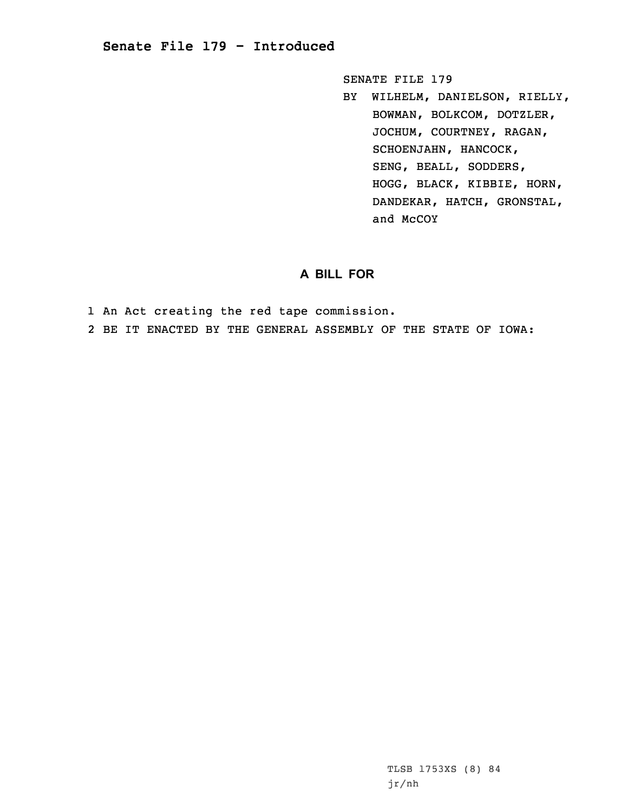## **Senate File 179 - Introduced**

SENATE FILE 179

BY WILHELM, DANIELSON, RIELLY, BOWMAN, BOLKCOM, DOTZLER, JOCHUM, COURTNEY, RAGAN, SCHOENJAHN, HANCOCK, SENG, BEALL, SODDERS, HOGG, BLACK, KIBBIE, HORN, DANDEKAR, HATCH, GRONSTAL, and McCOY

## **A BILL FOR**

1 An Act creating the red tape commission.

2 BE IT ENACTED BY THE GENERAL ASSEMBLY OF THE STATE OF IOWA: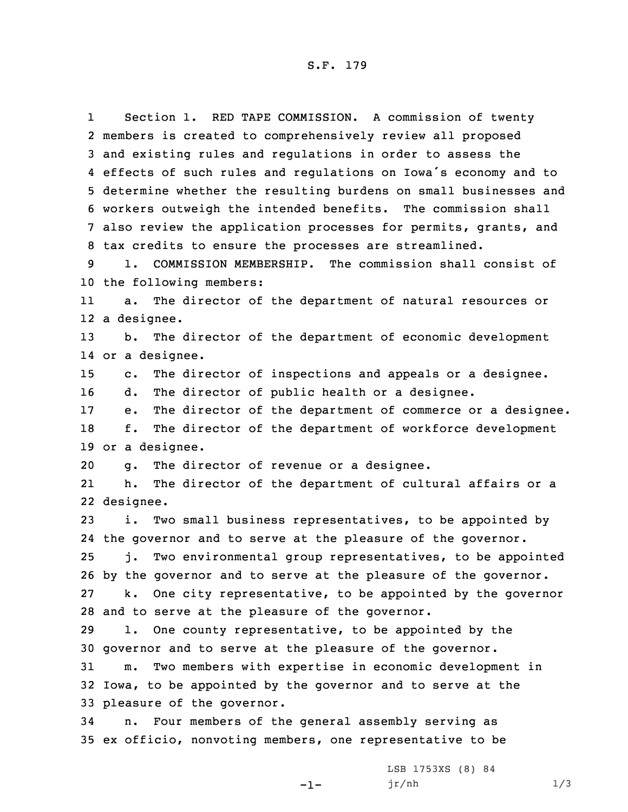S.F. 179

1 Section 1. RED TAPE COMMISSION. <sup>A</sup> commission of twenty members is created to comprehensively review all proposed and existing rules and regulations in order to assess the effects of such rules and regulations on Iowa's economy and to determine whether the resulting burdens on small businesses and workers outweigh the intended benefits. The commission shall also review the application processes for permits, grants, and tax credits to ensure the processes are streamlined.

9 1. COMMISSION MEMBERSHIP. The commission shall consist of 10 the following members:

11 a. The director of the department of natural resources or 12 <sup>a</sup> designee.

13 b. The director of the department of economic development 14 or <sup>a</sup> designee.

15 c. The director of inspections and appeals or <sup>a</sup> designee.

16 d. The director of public health or <sup>a</sup> designee.

17 e. The director of the department of commerce or <sup>a</sup> designee. 18 f. The director of the department of workforce development 19 or <sup>a</sup> designee.

20 g. The director of revenue or <sup>a</sup> designee.

21 h. The director of the department of cultural affairs or <sup>a</sup> 22 designee.

 i. Two small business representatives, to be appointed by the governor and to serve at the pleasure of the governor. j. Two environmental group representatives, to be appointed by the governor and to serve at the pleasure of the governor. k. One city representative, to be appointed by the governor

28 and to serve at the pleasure of the governor. 29 l. One county representative, to be appointed by the

30 governor and to serve at the pleasure of the governor.

31 m. Two members with expertise in economic development in 32 Iowa, to be appointed by the governor and to serve at the 33 pleasure of the governor.

-1-

34 n. Four members of the general assembly serving as 35 ex officio, nonvoting members, one representative to be

> LSB 1753XS (8) 84 jr/nh 1/3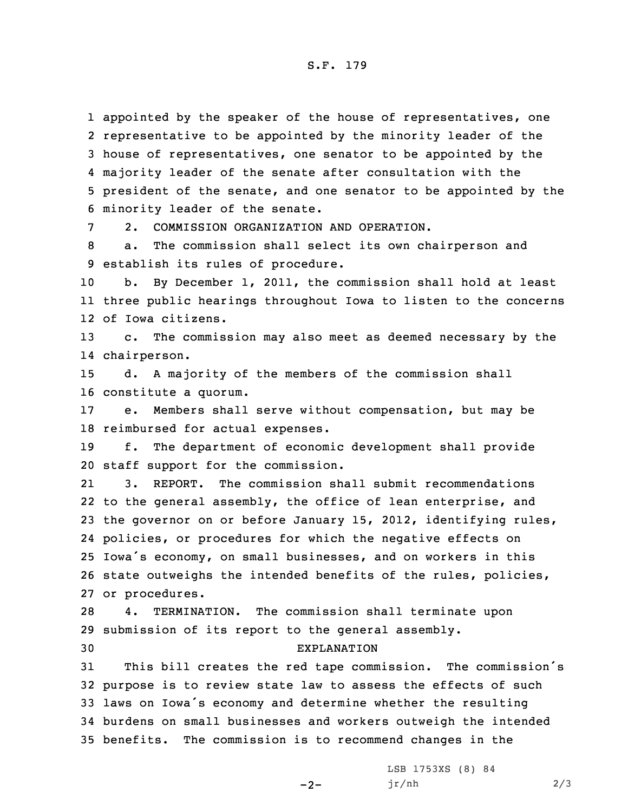S.F. 179

 appointed by the speaker of the house of representatives, one representative to be appointed by the minority leader of the house of representatives, one senator to be appointed by the majority leader of the senate after consultation with the president of the senate, and one senator to be appointed by the minority leader of the senate.

7 2. COMMISSION ORGANIZATION AND OPERATION.

8 a. The commission shall select its own chairperson and 9 establish its rules of procedure.

10 b. By December 1, 2011, the commission shall hold at least 11 three public hearings throughout Iowa to listen to the concerns 12 of Iowa citizens.

13 c. The commission may also meet as deemed necessary by the 14 chairperson.

15 d. <sup>A</sup> majority of the members of the commission shall 16 constitute <sup>a</sup> quorum.

17 e. Members shall serve without compensation, but may be 18 reimbursed for actual expenses.

19 f. The department of economic development shall provide 20 staff support for the commission.

21 3. REPORT. The commission shall submit recommendations 22 to the general assembly, the office of lean enterprise, and the governor on or before January 15, 2012, identifying rules, policies, or procedures for which the negative effects on Iowa's economy, on small businesses, and on workers in this state outweighs the intended benefits of the rules, policies, or procedures.

28 4. TERMINATION. The commission shall terminate upon 29 submission of its report to the general assembly. 30 EXPLANATION

 This bill creates the red tape commission. The commission's purpose is to review state law to assess the effects of such laws on Iowa's economy and determine whether the resulting burdens on small businesses and workers outweigh the intended benefits. The commission is to recommend changes in the

 $-2-$ 

LSB 1753XS (8) 84  $jr/nh$  2/3